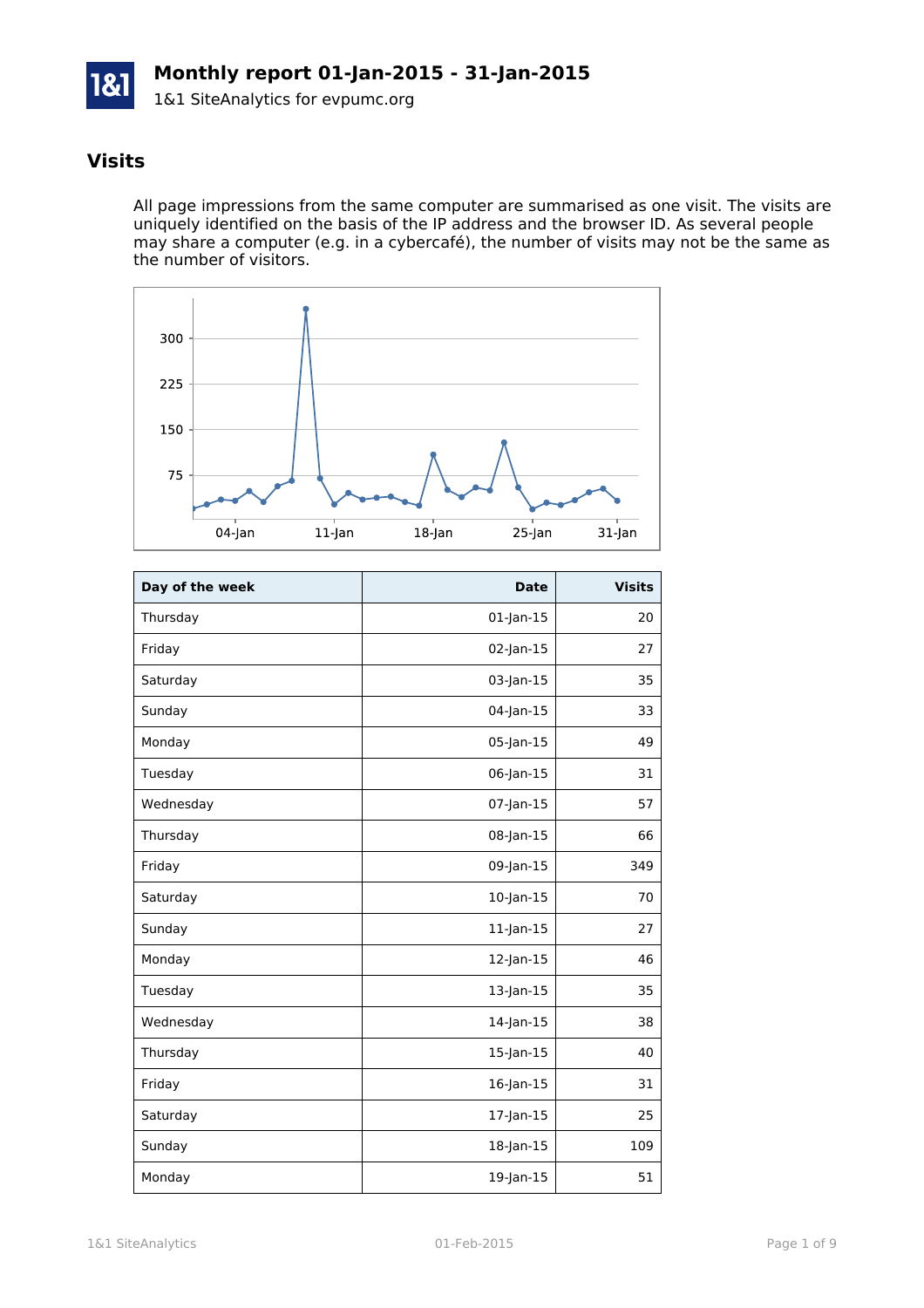

#### **Visits**

All page impressions from the same computer are summarised as one visit. The visits are uniquely identified on the basis of the IP address and the browser ID. As several people may share a computer (e.g. in a cybercafé), the number of visits may not be the same as the number of visitors.



| Day of the week | <b>Date</b>     | <b>Visits</b> |
|-----------------|-----------------|---------------|
| Thursday        | $01$ -Jan- $15$ | 20            |
| Friday          | 02-Jan-15       | 27            |
| Saturday        | 03-Jan-15       | 35            |
| Sunday          | 04-Jan-15       | 33            |
| Monday          | 05-Jan-15       | 49            |
| Tuesday         | 06-Jan-15       | 31            |
| Wednesday       | $07$ -Jan-15    | 57            |
| Thursday        | 08-Jan-15       | 66            |
| Friday          | 09-Jan-15       | 349           |
| Saturday        | $10$ -Jan- $15$ | 70            |
| Sunday          | $11$ -Jan- $15$ | 27            |
| Monday          | $12$ -Jan-15    | 46            |
| Tuesday         | 13-Jan-15       | 35            |
| Wednesday       | $14$ -Jan- $15$ | 38            |
| Thursday        | 15-Jan-15       | 40            |
| Friday          | 16-Jan-15       | 31            |
| Saturday        | 17-Jan-15       | 25            |
| Sunday          | 18-Jan-15       | 109           |
| Monday          | 19-Jan-15       | 51            |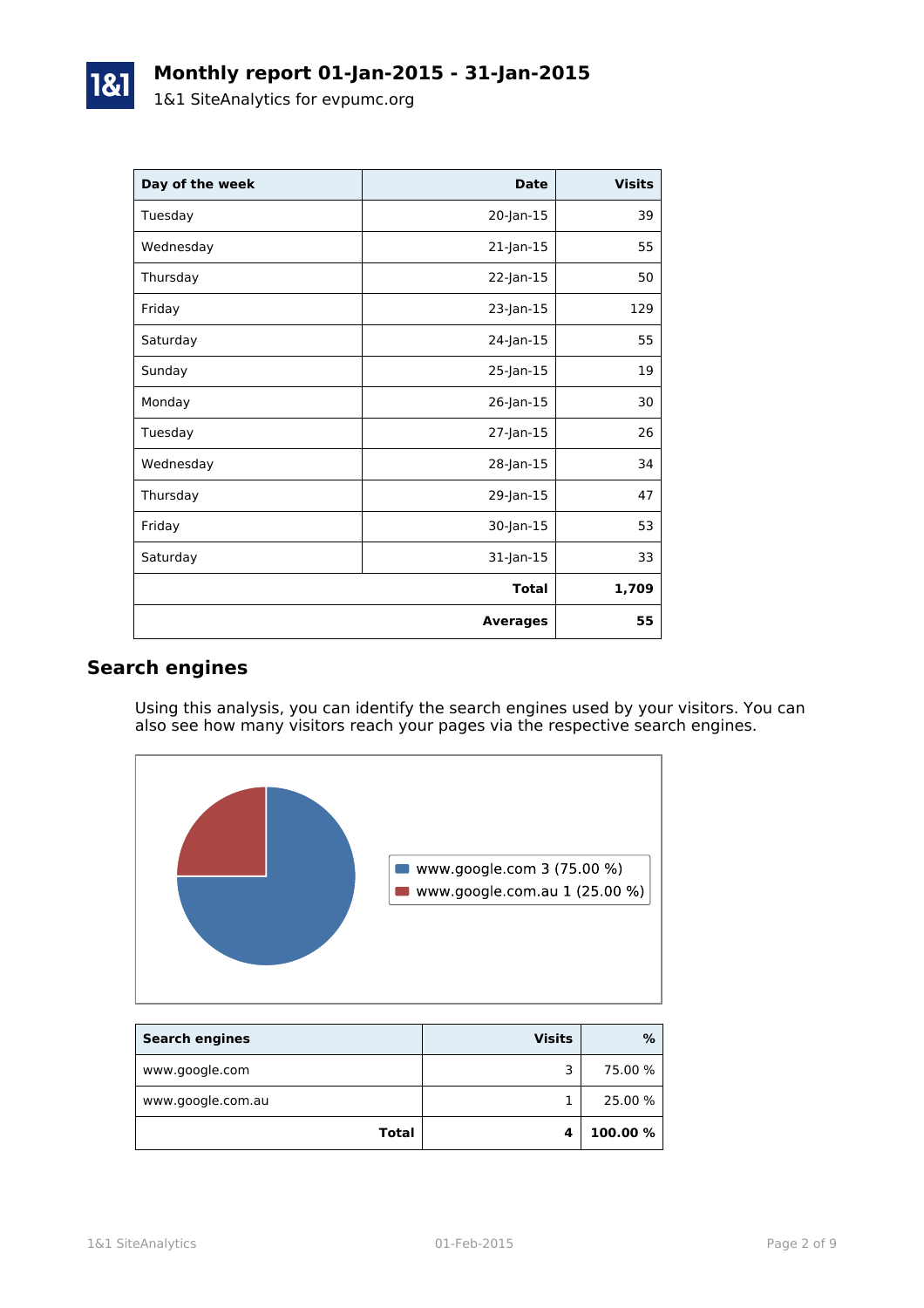| Day of the week | <b>Date</b>     | <b>Visits</b> |
|-----------------|-----------------|---------------|
| Tuesday         | 20-Jan-15       | 39            |
| Wednesday       | 21-Jan-15       | 55            |
| Thursday        | 22-Jan-15       | 50            |
| Friday          | 23-Jan-15       | 129           |
| Saturday        | 24-Jan-15       | 55            |
| Sunday          | 25-Jan-15       | 19            |
| Monday          | 26-Jan-15       | 30            |
| Tuesday         | 27-Jan-15       | 26            |
| Wednesday       | 28-Jan-15       | 34            |
| Thursday        | 29-Jan-15       | 47            |
| Friday          | 30-Jan-15       | 53            |
| Saturday        | 31-Jan-15       | 33            |
|                 | <b>Total</b>    | 1,709         |
|                 | <b>Averages</b> | 55            |

## **Search engines**

Using this analysis, you can identify the search engines used by your visitors. You can also see how many visitors reach your pages via the respective search engines.



| <b>Search engines</b> | <b>Visits</b> | %        |
|-----------------------|---------------|----------|
| www.google.com        | ∍             | 75.00 %  |
| www.google.com.au     |               | 25.00 %  |
| <b>Total</b>          |               | 100.00 % |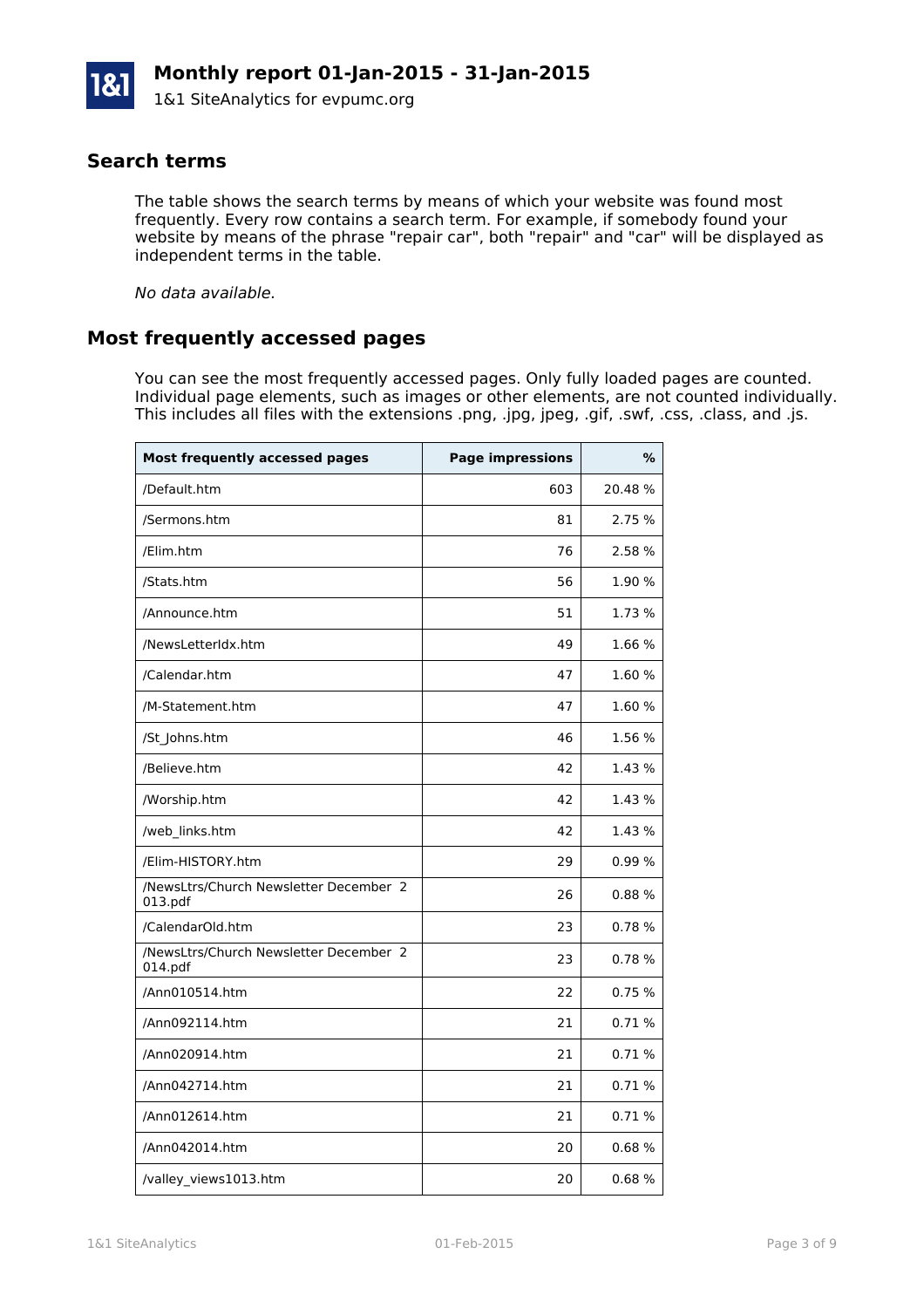#### **Search terms**

The table shows the search terms by means of which your website was found most frequently. Every row contains a search term. For example, if somebody found your website by means of the phrase "repair car", both "repair" and "car" will be displayed as independent terms in the table.

*No data available.*

#### **Most frequently accessed pages**

You can see the most frequently accessed pages. Only fully loaded pages are counted. Individual page elements, such as images or other elements, are not counted individually. This includes all files with the extensions .png, .jpg, jpeg, .gif, .swf, .css, .class, and .js.

| <b>Most frequently accessed pages</b>             | <b>Page impressions</b> | $\%$   |
|---------------------------------------------------|-------------------------|--------|
| /Default.htm                                      | 603                     | 20.48% |
| /Sermons.htm                                      | 81                      | 2.75 % |
| /Elim.htm                                         | 76                      | 2.58 % |
| /Stats.htm                                        | 56                      | 1.90%  |
| /Announce.htm                                     | 51                      | 1.73 % |
| /NewsLetterIdx.htm                                | 49                      | 1.66 % |
| /Calendar.htm                                     | 47                      | 1.60%  |
| /M-Statement.htm                                  | 47                      | 1.60%  |
| /St_Johns.htm                                     | 46                      | 1.56 % |
| /Believe.htm                                      | 42                      | 1.43 % |
| /Worship.htm                                      | 42                      | 1.43 % |
| /web_links.htm                                    | 42                      | 1.43 % |
| /Elim-HISTORY.htm                                 | 29                      | 0.99%  |
| /NewsLtrs/Church Newsletter December 2<br>013.pdf | 26                      | 0.88%  |
| /CalendarOld.htm                                  | 23                      | 0.78%  |
| /NewsLtrs/Church Newsletter December 2<br>014.pdf | 23                      | 0.78%  |
| /Ann010514.htm                                    | 22                      | 0.75%  |
| /Ann092114.htm                                    | 21                      | 0.71%  |
| /Ann020914.htm                                    | 21                      | 0.71%  |
| /Ann042714.htm                                    | 21                      | 0.71%  |
| /Ann012614.htm                                    | 21                      | 0.71%  |
| /Ann042014.htm                                    | 20                      | 0.68%  |
| /valley_views1013.htm                             | 20                      | 0.68%  |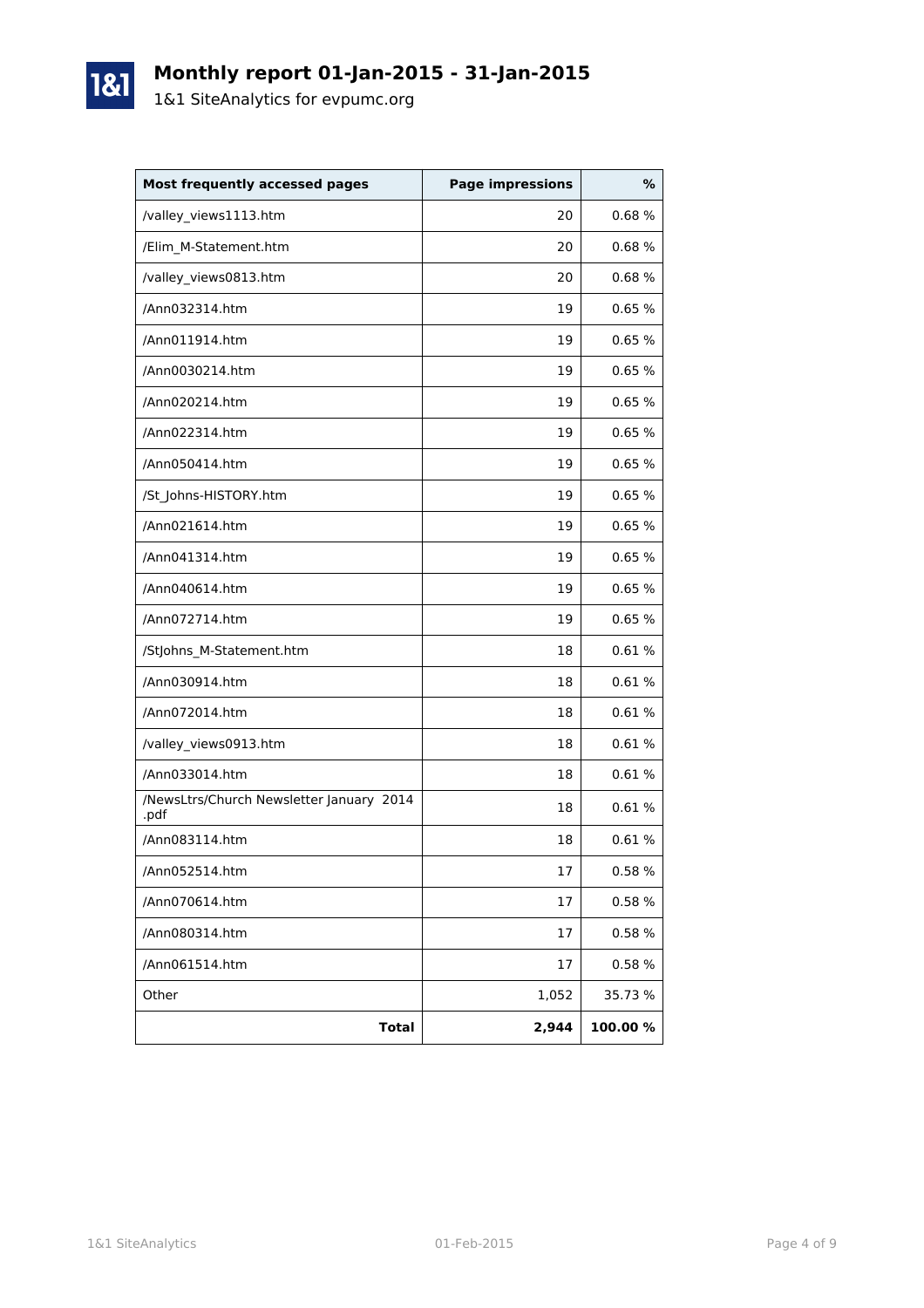

1&1

| <b>Most frequently accessed pages</b>            | <b>Page impressions</b> | %       |
|--------------------------------------------------|-------------------------|---------|
| /valley_views1113.htm                            | 20                      | 0.68%   |
| /Elim M-Statement.htm                            | 20                      | 0.68%   |
| /valley_views0813.htm                            | 20                      | 0.68%   |
| /Ann032314.htm                                   | 19                      | 0.65%   |
| /Ann011914.htm                                   | 19                      | 0.65%   |
| /Ann0030214.htm                                  | 19                      | 0.65%   |
| /Ann020214.htm                                   | 19                      | 0.65%   |
| /Ann022314.htm                                   | 19                      | 0.65%   |
| /Ann050414.htm                                   | 19                      | 0.65%   |
| /St_Johns-HISTORY.htm                            | 19                      | 0.65%   |
| /Ann021614.htm                                   | 19                      | 0.65%   |
| /Ann041314.htm                                   | 19                      | 0.65%   |
| /Ann040614.htm                                   | 19                      | 0.65%   |
| /Ann072714.htm                                   | 19                      | 0.65%   |
| /StJohns_M-Statement.htm                         | 18                      | 0.61%   |
| /Ann030914.htm                                   | 18                      | 0.61%   |
| /Ann072014.htm                                   | 18                      | 0.61%   |
| /valley_views0913.htm                            | 18                      | 0.61%   |
| /Ann033014.htm                                   | 18                      | 0.61%   |
| /NewsLtrs/Church Newsletter January 2014<br>.pdf | 18                      | 0.61%   |
| /Ann083114.htm                                   | 18                      | 0.61%   |
| /Ann052514.htm                                   | 17                      | 0.58%   |
| /Ann070614.htm                                   | 17                      | 0.58%   |
| /Ann080314.htm                                   | 17                      | 0.58 %  |
| /Ann061514.htm                                   | 17                      | 0.58%   |
| Other                                            | 1,052                   | 35.73 % |
| <b>Total</b>                                     | 2,944                   | 100.00% |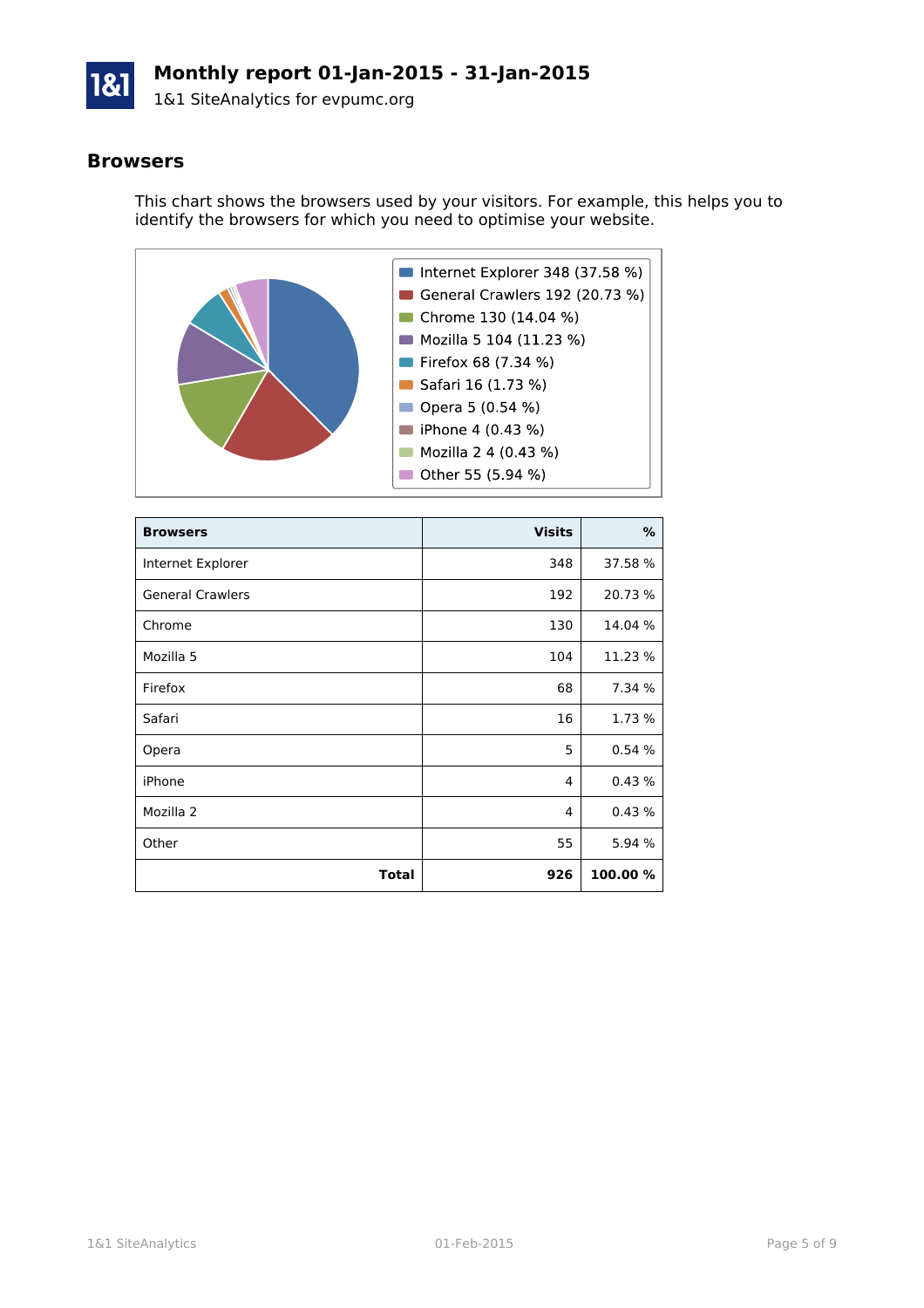

#### **Browsers**

This chart shows the browsers used by your visitors. For example, this helps you to identify the browsers for which you need to optimise your website.



| <b>Browsers</b>         | <b>Visits</b> | %        |
|-------------------------|---------------|----------|
| Internet Explorer       | 348           | 37.58 %  |
| <b>General Crawlers</b> | 192           | 20.73 %  |
| Chrome                  | 130           | 14.04 %  |
| Mozilla 5               | 104           | 11.23 %  |
| Firefox                 | 68            | 7.34 %   |
| Safari                  | 16            | 1.73 %   |
| Opera                   | 5             | 0.54%    |
| iPhone                  | 4             | 0.43%    |
| Mozilla 2               | 4             | 0.43%    |
| Other                   | 55            | 5.94 %   |
| Total                   | 926           | 100.00 % |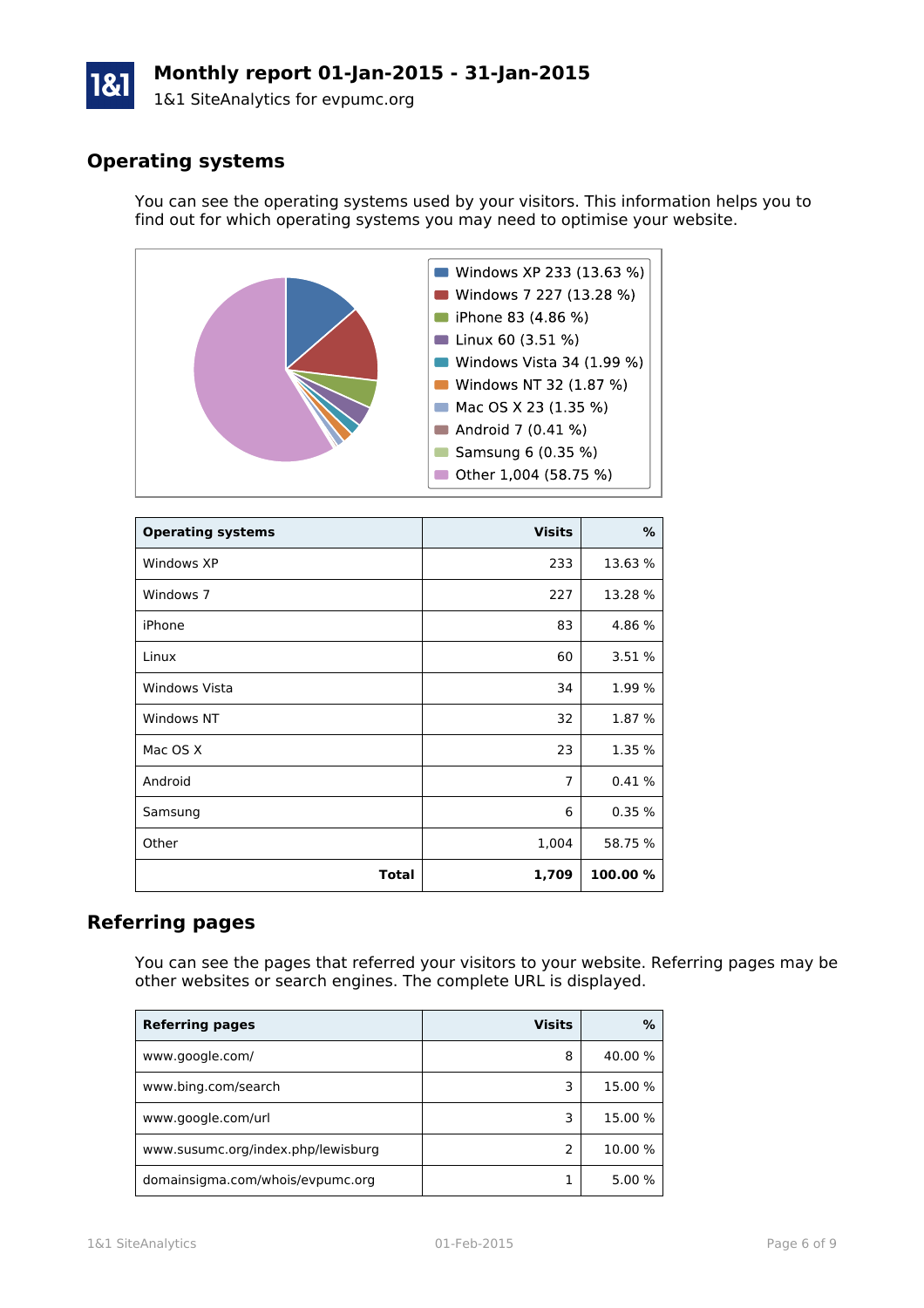# **Monthly report 01-Jan-2015 - 31-Jan-2015**

1&1 SiteAnalytics for evpumc.org

## **Operating systems**

You can see the operating systems used by your visitors. This information helps you to find out for which operating systems you may need to optimise your website.



| <b>Operating systems</b> | <b>Visits</b>  | %        |
|--------------------------|----------------|----------|
| Windows XP               | 233            | 13.63 %  |
| Windows 7                | 227            | 13.28 %  |
| iPhone                   | 83             | 4.86 %   |
| Linux                    | 60             | 3.51 %   |
| Windows Vista            | 34             | 1.99 %   |
| Windows NT               | 32             | 1.87 %   |
| Mac OS X                 | 23             | 1.35 %   |
| Android                  | $\overline{7}$ | 0.41%    |
| Samsung                  | 6              | 0.35%    |
| Other                    | 1,004          | 58.75 %  |
| <b>Total</b>             | 1,709          | 100.00 % |

#### **Referring pages**

You can see the pages that referred your visitors to your website. Referring pages may be other websites or search engines. The complete URL is displayed.

| <b>Referring pages</b>             | <b>Visits</b> | ℅       |
|------------------------------------|---------------|---------|
| www.google.com/                    | 8             | 40.00 % |
| www.bing.com/search                | 3             | 15.00 % |
| www.google.com/url                 | ٦             | 15.00 % |
| www.susumc.org/index.php/lewisburg |               | 10.00 % |
| domainsigma.com/whois/evpumc.org   |               | 5.00 %  |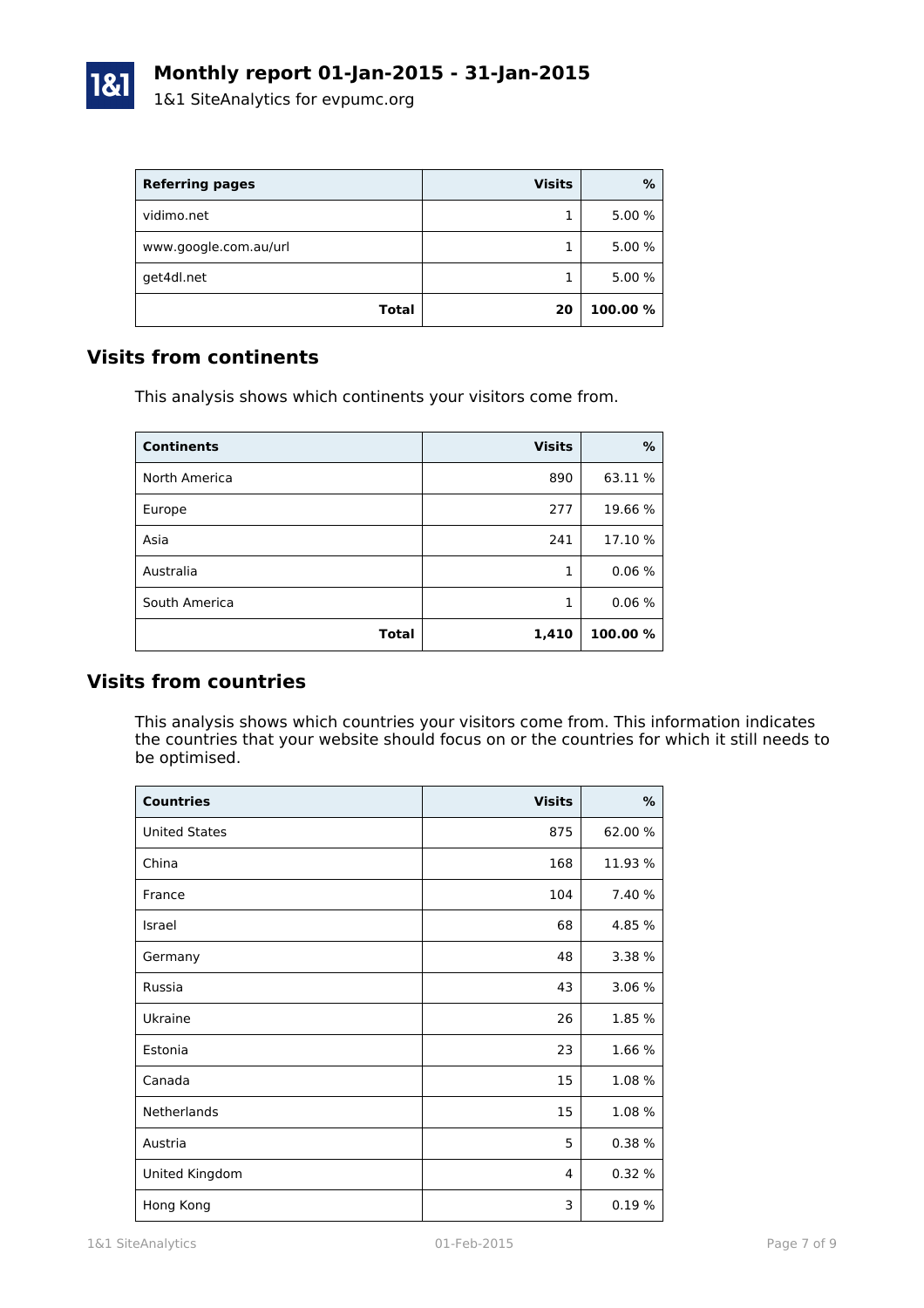

| <b>Referring pages</b> | <b>Visits</b> | %        |
|------------------------|---------------|----------|
| vidimo.net             |               | 5.00 %   |
| www.google.com.au/url  |               | 5.00 %   |
| get4dl.net             |               | 5.00 %   |
| <b>Total</b>           | 20            | 100.00 % |

#### **Visits from continents**

This analysis shows which continents your visitors come from.

| <b>Continents</b> | <b>Visits</b> | %        |
|-------------------|---------------|----------|
| North America     | 890           | 63.11 %  |
| Europe            | 277           | 19.66 %  |
| Asia              | 241           | 17.10 %  |
| Australia         | 1             | 0.06%    |
| South America     | 1             | 0.06%    |
| Total             | 1,410         | 100.00 % |

#### **Visits from countries**

This analysis shows which countries your visitors come from. This information indicates the countries that your website should focus on or the countries for which it still needs to be optimised.

| <b>Countries</b>     | <b>Visits</b> | $\%$    |
|----------------------|---------------|---------|
| <b>United States</b> | 875           | 62.00 % |
| China                | 168           | 11.93 % |
| France               | 104           | 7.40 %  |
| Israel               | 68            | 4.85 %  |
| Germany              | 48            | 3.38 %  |
| Russia               | 43            | 3.06 %  |
| Ukraine              | 26            | 1.85 %  |
| Estonia              | 23            | 1.66 %  |
| Canada               | 15            | 1.08 %  |
| Netherlands          | 15            | 1.08 %  |
| Austria              | 5             | 0.38%   |
| United Kingdom       | 4             | 0.32%   |
| Hong Kong            | 3             | 0.19%   |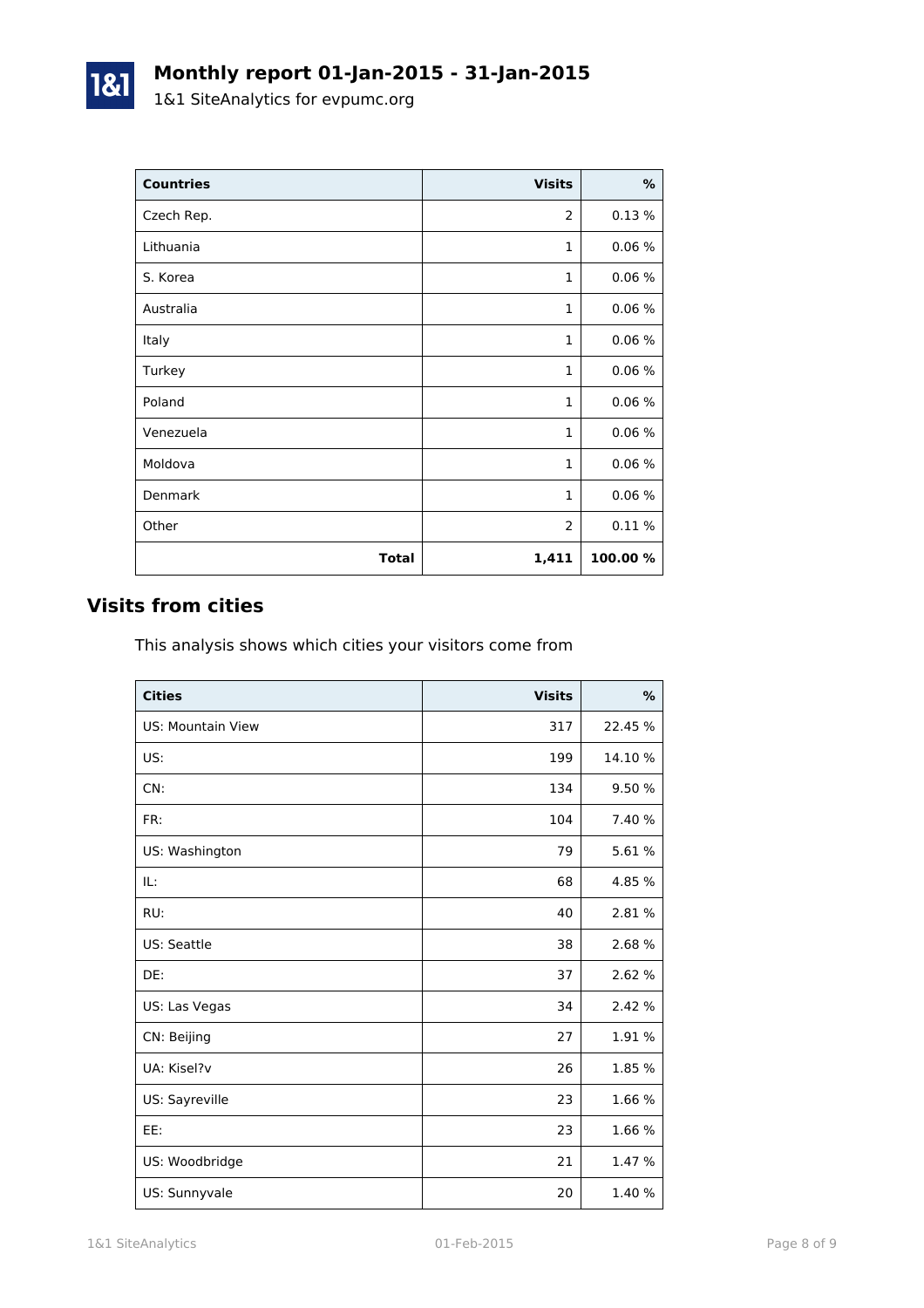| <b>Countries</b> | <b>Visits</b> | $\%$    |
|------------------|---------------|---------|
| Czech Rep.       | 2             | 0.13%   |
| Lithuania        | $\mathbf{1}$  | 0.06%   |
| S. Korea         | $\mathbf{1}$  | 0.06%   |
| Australia        | 1             | 0.06%   |
| Italy            | $\mathbf{1}$  | 0.06%   |
| Turkey           | $\mathbf{1}$  | 0.06%   |
| Poland           | $\mathbf{1}$  | 0.06%   |
| Venezuela        | 1             | 0.06%   |
| Moldova          | $\mathbf{1}$  | 0.06%   |
| Denmark          | $\mathbf{1}$  | 0.06%   |
| Other            | 2             | 0.11%   |
| <b>Total</b>     | 1,411         | 100.00% |

## **Visits from cities**

1&1

This analysis shows which cities your visitors come from

| <b>Cities</b>            | <b>Visits</b> | %       |
|--------------------------|---------------|---------|
| <b>US: Mountain View</b> | 317           | 22.45 % |
| US:                      | 199           | 14.10 % |
| CN:                      | 134           | 9.50 %  |
| FR:                      | 104           | 7.40 %  |
| US: Washington           | 79            | 5.61 %  |
| IL:                      | 68            | 4.85 %  |
| RU:                      | 40            | 2.81 %  |
| US: Seattle              | 38            | 2.68 %  |
| DE:                      | 37            | 2.62 %  |
| US: Las Vegas            | 34            | 2.42 %  |
| CN: Beijing              | 27            | 1.91 %  |
| UA: Kisel?v              | 26            | 1.85 %  |
| US: Sayreville           | 23            | 1.66 %  |
| EE:                      | 23            | 1.66 %  |
| US: Woodbridge           | 21            | 1.47 %  |
| US: Sunnyvale            | 20            | 1.40 %  |